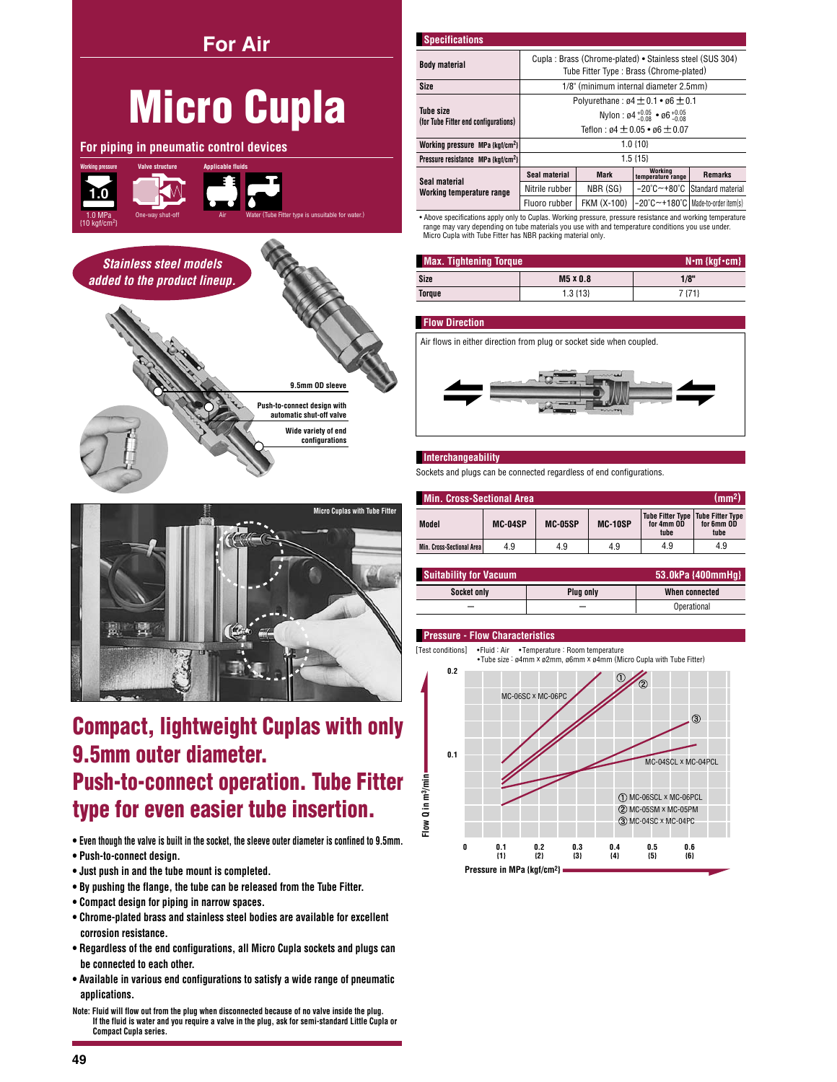## **For Air**

# **Micro Cupla**

For piping in pneumatic control devices







# **Compact, lightweight Cuplas with only** 9.5mm outer diameter. **Push-to-connect operation. Tube Fitter** type for even easier tube insertion.

. Even though the valve is built in the socket, the sleeve outer diameter is confined to 9.5mm.

- · Push-to-connect design.
- . Just push in and the tube mount is completed.
- . By pushing the flange, the tube can be released from the Tube Fitter.
- Compact design for piping in narrow spaces.
- Chrome-plated brass and stainless steel bodies are available for excellent corrosion resistance.
- . Regardless of the end configurations, all Micro Cupla sockets and plugs can be connected to each other.
- Available in various end configurations to satisfy a wide range of pneumatic applications.
- Note: Fluid will flow out from the plug when disconnected because of no valve inside the plug. If the fluid is water and you require a valve in the plug, ask for semi-standard Little Cupla or **Compact Cupla series.**

| <b>Specifications</b>                                    |                                                                          |                                                                                                     |                                                                   |                   |  |  |  |
|----------------------------------------------------------|--------------------------------------------------------------------------|-----------------------------------------------------------------------------------------------------|-------------------------------------------------------------------|-------------------|--|--|--|
| <b>Body material</b>                                     |                                                                          | Cupla: Brass (Chrome-plated) • Stainless steel (SUS 304)<br>Tube Fitter Type: Brass (Chrome-plated) |                                                                   |                   |  |  |  |
| <b>Size</b>                                              |                                                                          | 1/8" (minimum internal diameter 2.5mm)                                                              |                                                                   |                   |  |  |  |
|                                                          |                                                                          |                                                                                                     | Polyurethane: $\mathfrak{g}4 \pm 0.1 \cdot \mathfrak{g}6 \pm 0.1$ |                   |  |  |  |
| <b>Tube size</b><br>(for Tube Fitter end configurations) | Nylon: $\mathfrak{g}4^{+0.05}_{-0.08}$ • $\mathfrak{g}6^{+0.05}_{-0.08}$ |                                                                                                     |                                                                   |                   |  |  |  |
|                                                          | Teflon: $\sigma$ 4 $\pm$ 0.05 • $\sigma$ 6 $\pm$ 0.07                    |                                                                                                     |                                                                   |                   |  |  |  |
| Working pressure MPa {kgf/cm <sup>2</sup> }              |                                                                          | $1.0 \{10\}$                                                                                        |                                                                   |                   |  |  |  |
| Pressure resistance MPa {kaf/cm <sup>2}</sup>            |                                                                          |                                                                                                     | $1.5\{15\}$                                                       |                   |  |  |  |
| Seal material                                            | Seal material                                                            | <b>Mark</b>                                                                                         | Working<br>temperature range                                      | <b>Remarks</b>    |  |  |  |
| Working temperature range                                | Nitrile rubber                                                           | NBR (SG)                                                                                            | $-20^{\circ}$ C $-+80^{\circ}$ C                                  | Standard material |  |  |  |
|                                                          | Fluoro rubber                                                            | FKM (X-100)                                                                                         | -20°C~+180°C   Made-to-order item(s)                              |                   |  |  |  |

.<br>• Above specifications apply only to Cuplas. Working pressure, pressure resistance and working temperature range may vary depending on tube materials you use with and temperature conditions you use under.<br>Micro Cupla with Tube Fitter has NBR packing material only.

| <b>Max. Tightening Torque</b> | $N \cdot m$ {kgf $\cdot$ cm} |        |
|-------------------------------|------------------------------|--------|
| Size                          | M5 x 0.8                     | 1/8"   |
| Torque                        | $1.3 \{13\}$                 | 7 {71} |

## **Flow Direction**

Air flows in either direction from plug or socket side when coupled.



#### Interchangeability

Sockets and plugs can be connected regardless of end configurations.

| (mm <sup>2</sup> )<br><b>Min. Cross-Sectional Area</b> |         |                |         |                                                           |                    |  |  |  |
|--------------------------------------------------------|---------|----------------|---------|-----------------------------------------------------------|--------------------|--|--|--|
| <b>Model</b>                                           | MC-04SP | <b>MC-05SP</b> | MC-10SP | Tube Fitter Type   Tube Fitter Type<br>for 4mm OD<br>tube | for 6mm OD<br>tube |  |  |  |
| Min. Cross-Sectional Area I                            | 4.9     | 4.9            | 4.9     | 4.9                                                       | 4.9                |  |  |  |

| <b>Suitability for Vacuum</b> |           | 53.0kPa {400mmHq} |
|-------------------------------|-----------|-------------------|
| Socket only                   | Plua only | When connected    |
|                               |           | Operational       |

#### **Pressure - Flow Characteristics**



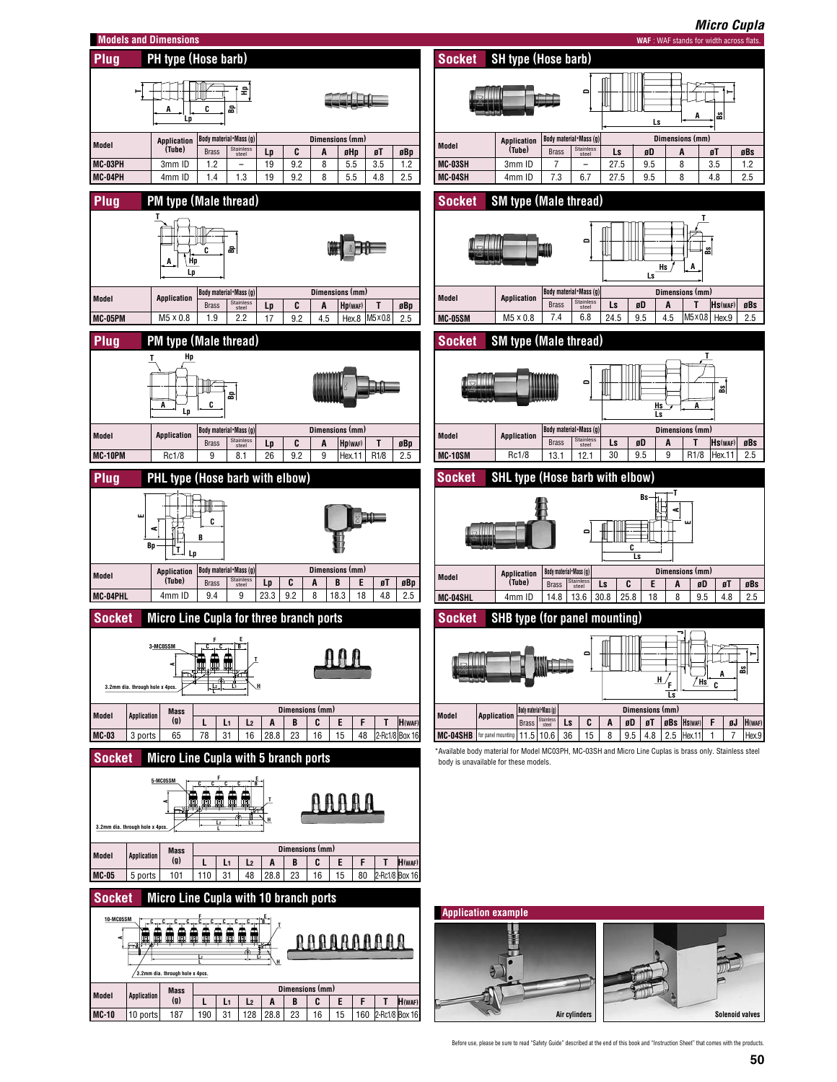

Before use, please be sure to read "Safety Guide" described at the end of this book and "Instruction Sheet" that comes with the products.